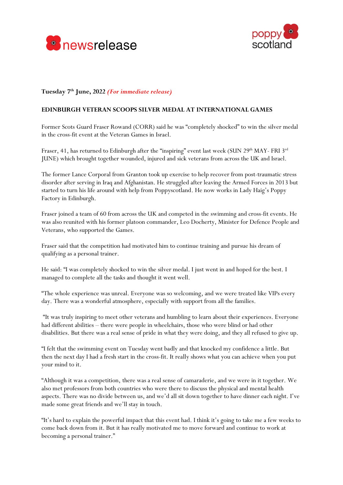



## **Tuesday 7th June, 2022** *(For immediate release)*

## **EDINBURGH VETERAN SCOOPS SILVER MEDAL AT INTERNATIONAL GAMES**

Former Scots Guard Fraser Rowand (CORR) said he was "completely shocked" to win the silver medal in the cross-fit event at the Veteran Games in Israel.

Fraser, 41, has returned to Edinburgh after the "inspiring" event last week (SUN 29<sup>th</sup> MAY- FRI 3<sup>rd</sup> JUNE) which brought together wounded, injured and sick veterans from across the UK and Israel.

The former Lance Corporal from Granton took up exercise to help recover from post-traumatic stress disorder after serving in Iraq and Afghanistan. He struggled after leaving the Armed Forces in 2013 but started to turn his life around with help from Poppyscotland. He now works in Lady Haig's Poppy Factory in Edinburgh.

Fraser joined a team of 60 from across the UK and competed in the swimming and cross-fit events. He was also reunited with his former platoon commander, Leo Docherty, Minister for Defence People and Veterans, who supported the Games.

Fraser said that the competition had motivated him to continue training and pursue his dream of qualifying as a personal trainer.

He said: "I was completely shocked to win the silver medal. I just went in and hoped for the best. I managed to complete all the tasks and thought it went well.

"The whole experience was unreal. Everyone was so welcoming, and we were treated like VIPs every day. There was a wonderful atmosphere, especially with support from all the families.

"It was truly inspiring to meet other veterans and humbling to learn about their experiences. Everyone had different abilities – there were people in wheelchairs, those who were blind or had other disabilities. But there was a real sense of pride in what they were doing, and they all refused to give up.

"I felt that the swimming event on Tuesday went badly and that knocked my confidence a little. But then the next day I had a fresh start in the cross-fit. It really shows what you can achieve when you put your mind to it.

"Although it was a competition, there was a real sense of camaraderie, and we were in it together. We also met professors from both countries who were there to discuss the physical and mental health aspects. There was no divide between us, and we'd all sit down together to have dinner each night. I've made some great friends and we'll stay in touch.

"It's hard to explain the powerful impact that this event had. I think it's going to take me a few weeks to come back down from it. But it has really motivated me to move forward and continue to work at becoming a personal trainer."